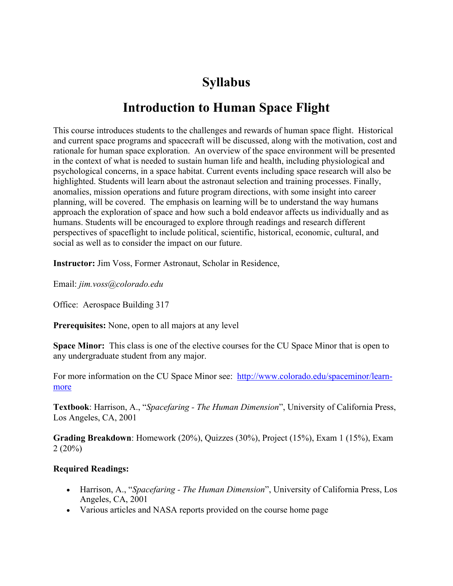# **Syllabus**

# **Introduction to Human Space Flight**

This course introduces students to the challenges and rewards of human space flight. Historical and current space programs and spacecraft will be discussed, along with the motivation, cost and rationale for human space exploration. An overview of the space environment will be presented in the context of what is needed to sustain human life and health, including physiological and psychological concerns, in a space habitat. Current events including space research will also be highlighted. Students will learn about the astronaut selection and training processes. Finally, anomalies, mission operations and future program directions, with some insight into career planning, will be covered. The emphasis on learning will be to understand the way humans approach the exploration of space and how such a bold endeavor affects us individually and as humans. Students will be encouraged to explore through readings and research different perspectives of spaceflight to include political, scientific, historical, economic, cultural, and social as well as to consider the impact on our future.

**Instructor:** Jim Voss, Former Astronaut, Scholar in Residence,

Email: *jim.voss@colorado.edu*

Office: Aerospace Building 317

**Prerequisites:** None, open to all majors at any level

**Space Minor:** This class is one of the elective courses for the CU Space Minor that is open to any undergraduate student from any major.

For more information on the CU Space Minor see: http://www.colorado.edu/spaceminor/learnmore

**Textbook**: Harrison, A., "*Spacefaring - The Human Dimension*", University of California Press, Los Angeles, CA, 2001

**Grading Breakdown**: Homework (20%), Quizzes (30%), Project (15%), Exam 1 (15%), Exam 2 (20%)

### **Required Readings:**

- Harrison, A., "*Spacefaring - The Human Dimension*", University of California Press, Los Angeles, CA, 2001
- Various articles and NASA reports provided on the course home page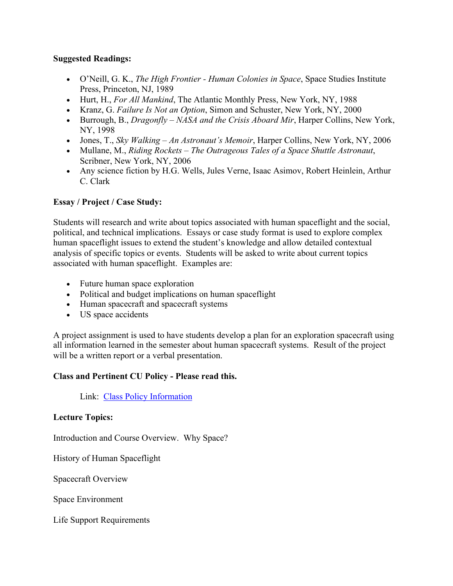## **Suggested Readings:**

- O'Neill, G. K., *The High Frontier - Human Colonies in Space*, Space Studies Institute Press, Princeton, NJ, 1989
- Hurt, H., *For All Mankind*, The Atlantic Monthly Press, New York, NY, 1988
- Kranz, G. *Failure Is Not an Option*, Simon and Schuster, New York, NY, 2000
- Burrough, B., *Dragonfly – NASA and the Crisis Aboard Mir*, Harper Collins, New York, NY, 1998
- Jones, T., *Sky Walking – An Astronaut's Memoir*, Harper Collins, New York, NY, 2006
- Mullane, M., *Riding Rockets – The Outrageous Tales of a Space Shuttle Astronaut*, Scribner, New York, NY, 2006
- Any science fiction by H.G. Wells, Jules Verne, Isaac Asimov, Robert Heinlein, Arthur C. Clark

# **Essay / Project / Case Study:**

Students will research and write about topics associated with human spaceflight and the social, political, and technical implications. Essays or case study format is used to explore complex human spaceflight issues to extend the student's knowledge and allow detailed contextual analysis of specific topics or events. Students will be asked to write about current topics associated with human spaceflight. Examples are:

- Future human space exploration
- Political and budget implications on human spaceflight
- Human spacecraft and spacecraft systems
- US space accidents

A project assignment is used to have students develop a plan for an exploration spacecraft using all information learned in the semester about human spacecraft systems. Result of the project will be a written report or a verbal presentation.

# **Class and Pertinent CU Policy - Please read this.**

Link: Class Policy Information

# **Lecture Topics:**

Introduction and Course Overview. Why Space?

History of Human Spaceflight

Spacecraft Overview

Space Environment

Life Support Requirements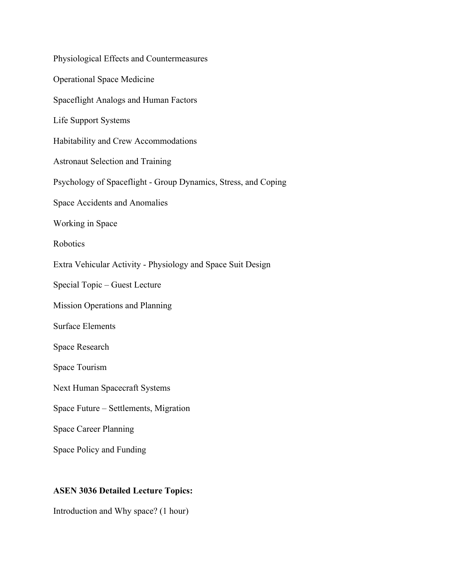# **ASEN 3036 Detailed Lecture Topics:**

Introduction and Why space? (1 hour)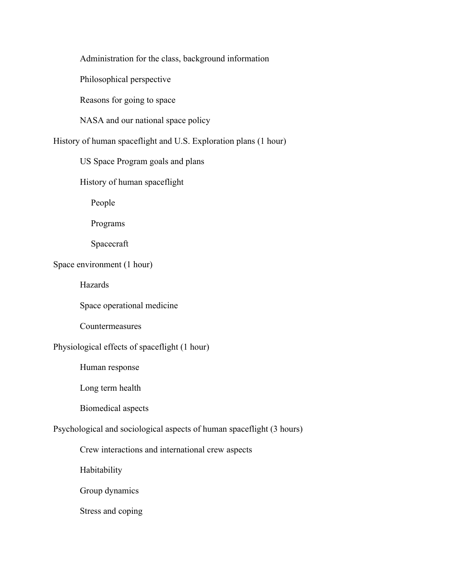Administration for the class, background information

Philosophical perspective

Reasons for going to space

NASA and our national space policy

History of human spaceflight and U.S. Exploration plans (1 hour)

US Space Program goals and plans

History of human spaceflight

People

Programs

Spacecraft

# Space environment (1 hour)

Hazards

Space operational medicine

Countermeasures

# Physiological effects of spaceflight (1 hour)

Human response

Long term health

Biomedical aspects

# Psychological and sociological aspects of human spaceflight (3 hours)

Crew interactions and international crew aspects

Habitability

Group dynamics

Stress and coping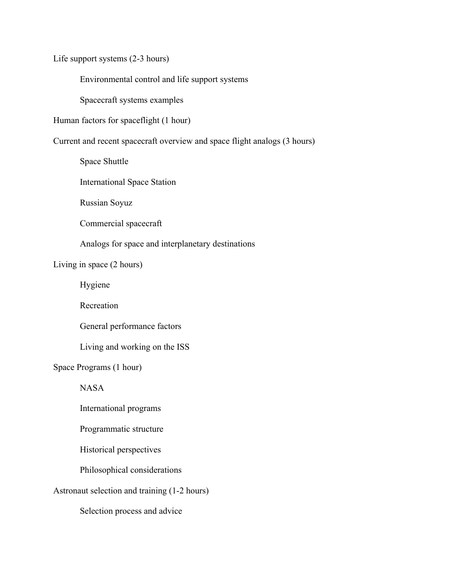Life support systems (2-3 hours)

Environmental control and life support systems

Spacecraft systems examples

Human factors for spaceflight (1 hour)

Current and recent spacecraft overview and space flight analogs (3 hours)

Space Shuttle

International Space Station

Russian Soyuz

Commercial spacecraft

Analogs for space and interplanetary destinations

Living in space (2 hours)

Hygiene

Recreation

General performance factors

Living and working on the ISS

Space Programs (1 hour)

NASA

International programs

Programmatic structure

Historical perspectives

Philosophical considerations

Astronaut selection and training (1-2 hours)

Selection process and advice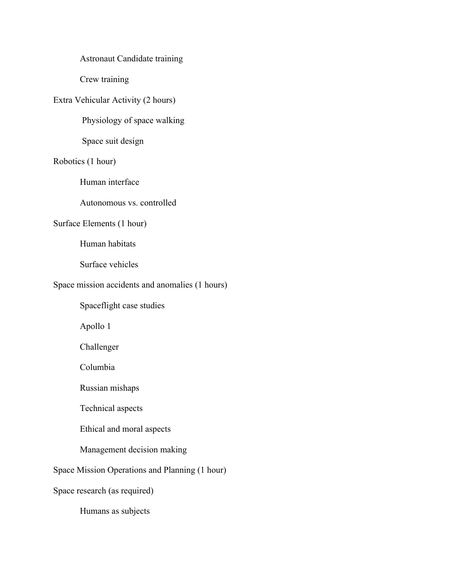## Astronaut Candidate training

Crew training

# Extra Vehicular Activity (2 hours)

Physiology of space walking

Space suit design

## Robotics (1 hour)

Human interface

Autonomous vs. controlled

### Surface Elements (1 hour)

Human habitats

Surface vehicles

### Space mission accidents and anomalies (1 hours)

Spaceflight case studies

Apollo 1

Challenger

Columbia

Russian mishaps

Technical aspects

Ethical and moral aspects

# Management decision making

# Space Mission Operations and Planning (1 hour)

Space research (as required)

Humans as subjects